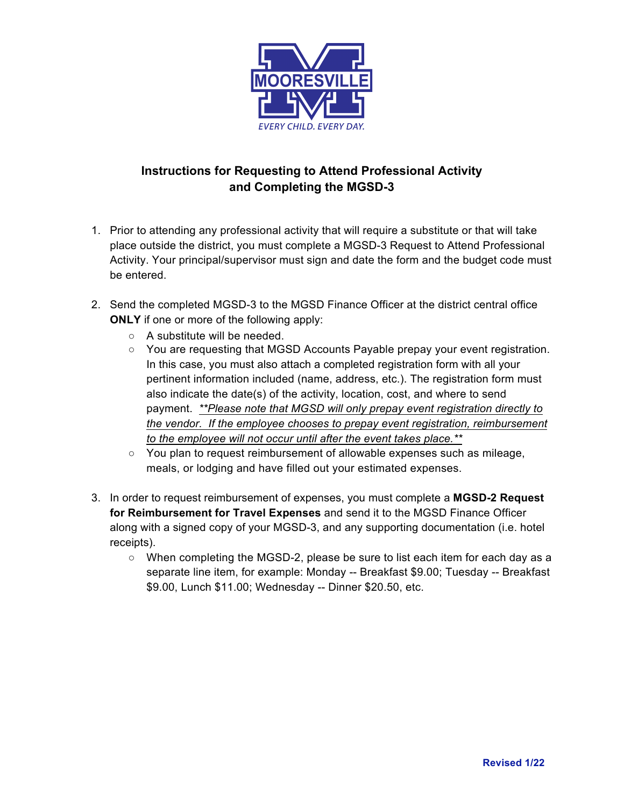

## **Instructions for Requesting to Attend Professional Activity and Completing the MGSD-3**

- 1. Prior to attending any professional activity that will require a substitute or that will take place outside the district, you must complete a MGSD-3 Request to Attend Professional Activity. Your principal/supervisor must sign and date the form and the budget code must be entered.
- 2. Send the completed MGSD-3 to the MGSD Finance Officer at the district central office **ONLY** if one or more of the following apply:
	- A substitute will be needed.
	- You are requesting that MGSD Accounts Payable prepay your event registration. In this case, you must also attach a completed registration form with all your pertinent information included (name, address, etc.). The registration form must also indicate the date(s) of the activity, location, cost, and where to send payment. *\*\*Please note that MGSD will only prepay event registration directly to the vendor. If the employee chooses to prepay event registration, reimbursement to the employee will not occur until after the event takes place.\*\**
	- You plan to request reimbursement of allowable expenses such as mileage, meals, or lodging and have filled out your estimated expenses.
- 3. In order to request reimbursement of expenses, you must complete a **MGSD-2 Request for Reimbursement for Travel Expenses** and send it to the MGSD Finance Officer along with a signed copy of your MGSD-3, and any supporting documentation (i.e. hotel receipts).
	- When completing the MGSD-2, please be sure to list each item for each day as a separate line item, for example: Monday -- Breakfast \$9.00; Tuesday -- Breakfast \$9.00, Lunch \$11.00; Wednesday -- Dinner \$20.50, etc.